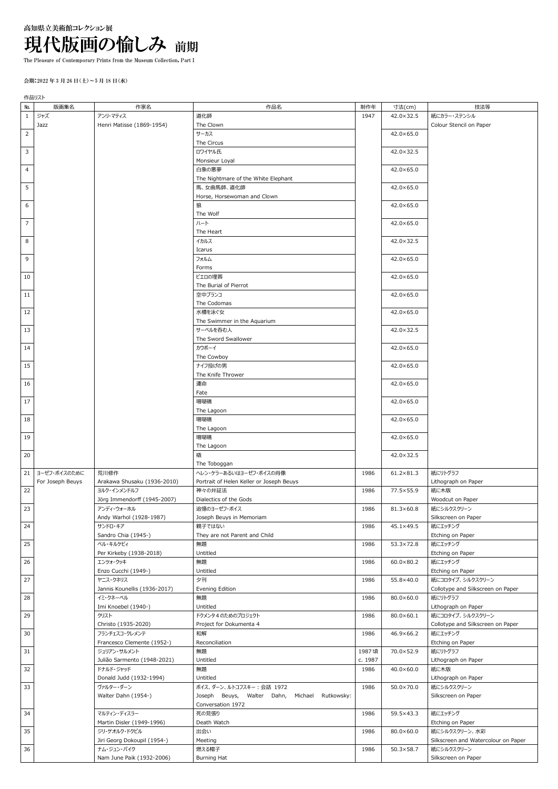## 高知県立美術館コレクション展 現代版画の愉しみ 前期

The Pleasure of Contemporary Prints from the Museum Collection, Part I

## 会期:2022 年 3 月 26 日(土)~5 月 18 日(水)

作品リスト

| No.            | 版画集名             | 作家名                                       | 作品名                                           | 制作年     | 寸法(cm)             | 技法等                                               |
|----------------|------------------|-------------------------------------------|-----------------------------------------------|---------|--------------------|---------------------------------------------------|
| $\mathbf{1}$   | ジャズ              | アンリ・マティス                                  | 道化師                                           | 1947    | 42.0×32.5          | 紙にカラー・ステンシル                                       |
|                | Jazz             | Henri Matisse (1869-1954)                 | The Clown                                     |         |                    | Colour Stencil on Paper                           |
| $\mathbf 2$    |                  |                                           | サーカス                                          |         | $42.0 \times 65.0$ |                                                   |
|                |                  |                                           | The Circus                                    |         |                    |                                                   |
| 3              |                  |                                           | ロワイヤル氏                                        |         | 42.0×32.5          |                                                   |
|                |                  |                                           | Monsieur Loyal<br>白象の悪夢                       |         |                    |                                                   |
| 4              |                  |                                           | The Nightmare of the White Elephant           |         | $42.0 \times 65.0$ |                                                   |
| 5              |                  |                                           | 馬、女曲馬師、道化師                                    |         | $42.0 \times 65.0$ |                                                   |
|                |                  |                                           | Horse, Horsewoman and Clown                   |         |                    |                                                   |
| 6              |                  |                                           | 狼                                             |         | $42.0 \times 65.0$ |                                                   |
|                |                  |                                           | The Wolf                                      |         |                    |                                                   |
| $\overline{7}$ |                  |                                           | ハート                                           |         | $42.0 \times 65.0$ |                                                   |
|                |                  |                                           | The Heart                                     |         |                    |                                                   |
| 8              |                  |                                           | イカルス                                          |         | $42.0 \times 32.5$ |                                                   |
|                |                  |                                           | Icarus                                        |         |                    |                                                   |
| 9              |                  |                                           | フォルム                                          |         | $42.0 \times 65.0$ |                                                   |
|                |                  |                                           | Forms                                         |         |                    |                                                   |
| 10             |                  |                                           | ピエロの埋葬                                        |         | $42.0 \times 65.0$ |                                                   |
|                |                  |                                           | The Burial of Pierrot                         |         |                    |                                                   |
| 11             |                  |                                           | 空中ブランコ<br>The Codomas                         |         | $42.0 \times 65.0$ |                                                   |
| 12             |                  |                                           | 水槽を泳ぐ女                                        |         | $42.0 \times 65.0$ |                                                   |
|                |                  |                                           | The Swimmer in the Aquarium                   |         |                    |                                                   |
| 13             |                  |                                           | サーベルを呑む人                                      |         | 42.0×32.5          |                                                   |
|                |                  |                                           | The Sword Swallower                           |         |                    |                                                   |
| 14             |                  |                                           | カウボーイ                                         |         | $42.0 \times 65.0$ |                                                   |
|                |                  |                                           | The Cowboy                                    |         |                    |                                                   |
| 15             |                  |                                           | ナイフ投げの男                                       |         | $42.0 \times 65.0$ |                                                   |
|                |                  |                                           | The Knife Thrower                             |         |                    |                                                   |
| 16             |                  |                                           | 運命                                            |         | 42.0×65.0          |                                                   |
|                |                  |                                           | Fate                                          |         |                    |                                                   |
| 17             |                  |                                           | 珊瑚礁                                           |         | 42.0×65.0          |                                                   |
|                |                  |                                           | The Lagoon                                    |         |                    |                                                   |
| 18             |                  |                                           | 珊瑚礁                                           |         | 42.0×65.0          |                                                   |
| 19             |                  |                                           | The Lagoon<br>珊瑚礁                             |         | $42.0 \times 65.0$ |                                                   |
|                |                  |                                           | The Lagoon                                    |         |                    |                                                   |
| 20             |                  |                                           | 橇                                             |         | 42.0×32.5          |                                                   |
|                |                  |                                           | The Toboggan                                  |         |                    |                                                   |
| 21             | ヨーゼフ・ボイスのために     | 荒川修作                                      | ヘレン・ケラーあるいはヨーゼフ・ボイスの肖像                        | 1986    | $61.2 \times 81.3$ | 紙にリトグラフ                                           |
|                | For Joseph Beuys | Arakawa Shusaku (1936-2010)               | Portrait of Helen Keller or Joseph Beuys      |         |                    | Lithograph on Paper                               |
| 22             |                  | ヨルク・インメンドルフ                               | 神々の弁証法                                        | 1986    | 77.5×55.9          | 紙に木版                                              |
|                |                  | Jörg Immendorff (1945-2007)               | Dialectics of the Gods                        |         |                    | Woodcut on Paper                                  |
| 23             |                  | アンディ・ウォーホル                                | 追憶のヨーゼフ・ボイス                                   | 1986    | 81.3×60.8          | 紙にシルクスクリーン                                        |
|                |                  | Andy Warhol (1928-1987)                   | Joseph Beuys in Memoriam                      |         |                    | Silkscreen on Paper                               |
| 24             |                  | サンドロ・キア<br>Sandro Chia (1945-)            | 親子ではない<br>They are not Parent and Child       | 1986    | 45.1×49.5          | 紙にエッチング<br>Etching on Paper                       |
| 25             |                  | ペル・キルケビィ                                  | 無題                                            | 1986    | 53.3×72.8          | 紙にエッチング                                           |
|                |                  | Per Kirkeby (1938-2018)                   | Untitled                                      |         |                    | Etching on Paper                                  |
| 26             |                  | エンツォ・クッキ                                  | 無題                                            | 1986    | $60.0 \times 80.2$ | 紙にエッチング                                           |
|                |                  | Enzo Cucchi (1949-)                       | Untitled                                      |         |                    | Etching on Paper                                  |
| 27             |                  | ヤニス・クネリス                                  | 夕刊                                            | 1986    | 55.8×40.0          | 紙にコロタイプ、シルクスクリーン                                  |
|                |                  | Jannis Kounellis (1936-2017)              | Evening Edition                               |         |                    | Collotype and Silkscreen on Paper                 |
| 28             |                  | イミ・クネーベル                                  | 無題                                            | 1986    | $80.0 \times 60.0$ | 紙にリトグラフ                                           |
|                |                  | Imi Knoebel (1940-)                       | Untitled                                      |         |                    | Lithograph on Paper                               |
| 29             |                  | クリスト                                      | ドクメンタ4のためのプロジェクト                              | 1986    | 80.0×60.1          | 紙にコロタイプ、シルクスクリーン                                  |
|                |                  | Christo (1935-2020)                       | Project for Dokumenta 4                       |         |                    | Collotype and Silkscreen on Paper                 |
| 30             |                  | フランチェスコ・クレメンテ                             | 和解                                            | 1986    | 46.9×66.2          | 紙にエッチング<br>Etching on Paper                       |
| 31             |                  | Francesco Clemente (1952-)<br>ジュリアン・サルメント | Reconciliation<br>無題                          | 1987頃   | 70.0×52.9          | 紙にリトグラフ                                           |
|                |                  | Julião Sarmento (1948-2021)               | Untitled                                      | c. 1987 |                    | Lithograph on Paper                               |
| 32             |                  | ドナルド・ジャッド                                 | 無題                                            | 1986    | $40.0 \times 60.0$ | 紙に木版                                              |
|                |                  | Donald Judd (1932-1994)                   | Untitled                                      |         |                    | Lithograph on Paper                               |
| 33             |                  | ヴァルター・ダーン                                 | ボイス、ダーン、ルトコフスキー: 会話 1972                      | 1986    | $50.0 \times 70.0$ | 紙にシルクスクリーン                                        |
|                |                  | Walter Dahn (1954-)                       | Joseph Beuys, Walter Dahn, Michael Rutkowsky: |         |                    | Silkscreen on Paper                               |
|                |                  |                                           | Conversation 1972                             |         |                    |                                                   |
| 34             |                  | マルティン・ディスラー                               | 死の見張り                                         | 1986    | 59.5×43.3          | 紙にエッチング                                           |
|                |                  | Martin Disler (1949-1996)                 | Death Watch                                   |         |                    | Etching on Paper                                  |
| 35             |                  | ジリ・ゲオルク・ドクピル                              | 出会い                                           | 1986    | $80.0 \times 60.0$ | 紙にシルクスクリーン、水彩                                     |
| 36             |                  | Jiri Georg Dokoupil (1954-)<br>ナム・ジュン・パイク | Meeting<br>燃える帽子                              | 1986    | $50.3 \times 58.7$ | Silkscreen and Watercolour on Paper<br>紙にシルクスクリーン |
|                |                  | Nam June Paik (1932-2006)                 | <b>Burning Hat</b>                            |         |                    | Silkscreen on Paper                               |